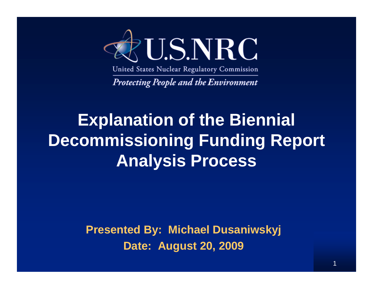

United States Nuclear Regulatory Commission

**Protecting People and the Environment** 

## **Explanation of the Biennial Decommissioning Funding Report Analysis Process**

**Presented By: Michael Dusaniwskyj Date: August 20, 2009**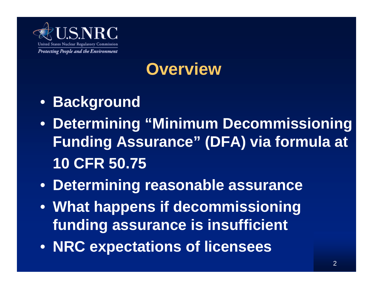

## **Overview**

- **Background**
- **Determining "Minimum Decommissioning Funding Assurance" (DFA) via formula at 10 CFR 50.75**
- **Determining reasonable assurance**
- **What happens if decommissioning funding assurance is insufficient**
- **NRC expectations of licensees**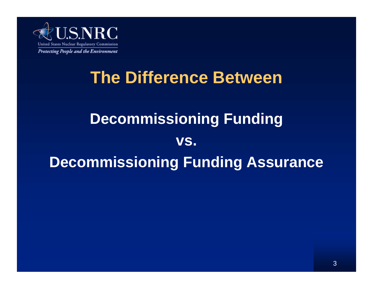

## **The Difference Between**

## **Decommissioning Funding vs. Decommissioning Funding Assurance**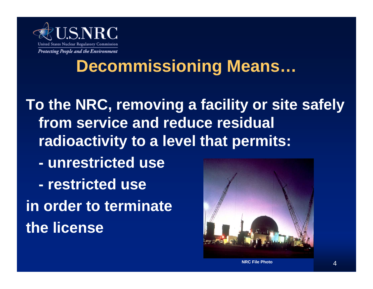

### **Decommissioning Means…**

**To the NRC, removing a facility or site safely from service and reduce residual radioactivity to a level that permits: - unrestricted use - restricted usein order to terminate the license**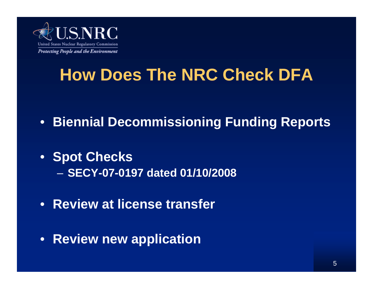

## **How Does The NRC Check DFA**

- **Biennial Decommissioning Funding Reports**
- **Spot Checks** – **SECY-07-0197 dated 01/10/2008**
- **Review at license transfer**
- **Review new application**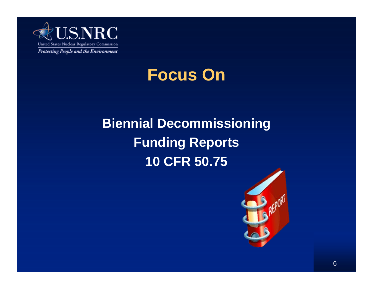

### **Focus On**

### **Biennial Decommissioning Funding Reports 10 CFR 50.75**

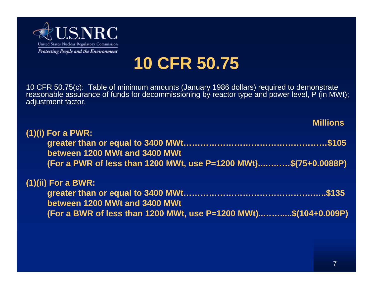

## **10 CFR 50.75**

10 CFR 50.75(c): Table of minimum amounts (January 1986 dollars) required to demonstrate reasonable assurance of funds for decommissioning by reactor type and power level, P (in MWt); adjustment factor.

|                                                                 | <b>Millions</b> |
|-----------------------------------------------------------------|-----------------|
| (1)(i) For a PWR:                                               |                 |
|                                                                 |                 |
| between 1200 MWt and 3400 MWt                                   |                 |
| (For a PWR of less than 1200 MWt, use P=1200 MWt)\$(75+0.0088P) |                 |
|                                                                 |                 |
| (1)(ii) For a BWR:                                              |                 |
|                                                                 |                 |
| between 1200 MWt and 3400 MWt                                   |                 |
| (For a BWR of less than 1200 MWt, use P=1200 MWt)\$(104+0.009P) |                 |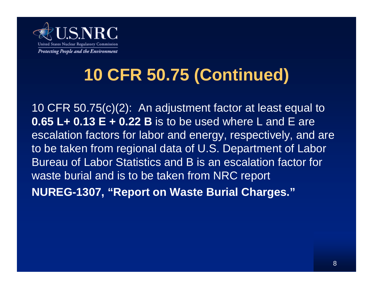

## **10 CFR 50.75 (Continued)**

10 CFR 50.75(c)(2): An adjustment factor at least equal to **0.65 L+ 0.13 E + 0.22 B** is to be used where L and E are escalation factors for labor and energy, respectively, and are to be taken from regional data of U.S. Department of Labor Bureau of Labor Statistics and B is an escalation factor for waste burial and is to be taken from NRC report **NUREG-1307, "Report on Waste Burial Charges."**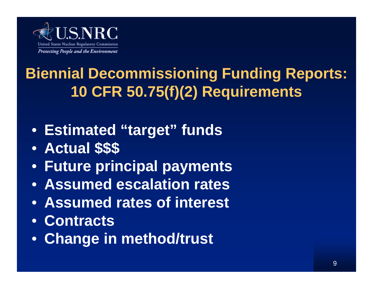

## **Biennial Decommissioning Funding Reports: 10 CFR 50.75(f)(2) Requirements**

- **Estimated "target" funds**
- **Actual \$\$\$**
- **Future principal payments**
- **Assumed escalation rates**
- **Assumed rates of interest**
- **Contracts**
- **Change in method/trust**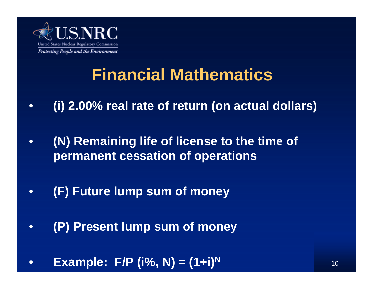

## **Financial Mathematics**

- **(i) 2.00% real rate of return (on actual dollars)**
- **(N) Remaining life of license to the time of permanent cessation of operations**
- **(F) Future lump sum of money**
- **(P) Present lump sum of money**
- **Example: F/P (i%, N) = (1+i)N**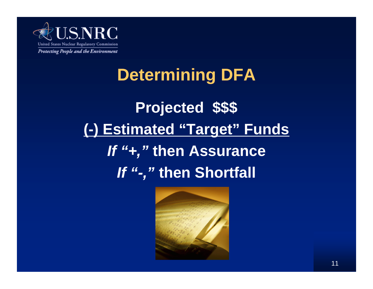

# **Projected \$\$\$ (-) Estimated "Target" Funds** *If "+,"* **then Assurance** *If "-,"* **then Shortfall Determining DFA**

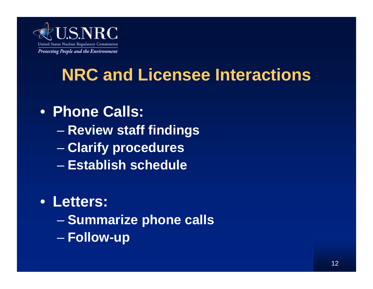

## **NRC and Licensee Interactions**

#### • **Phone Calls:**

- **Review staff findings**
- **Clarify procedures**
- **Establish schedule**

#### • **Letters:**

- **Summarize phone calls**
- **Follow-up**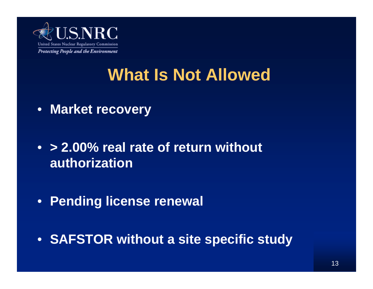

## **What Is Not Allowed**

- **Market recovery**
- **> 2.00% real rate of return without authorization**
- **Pending license renewal**
- **SAFSTOR without a site specific study**